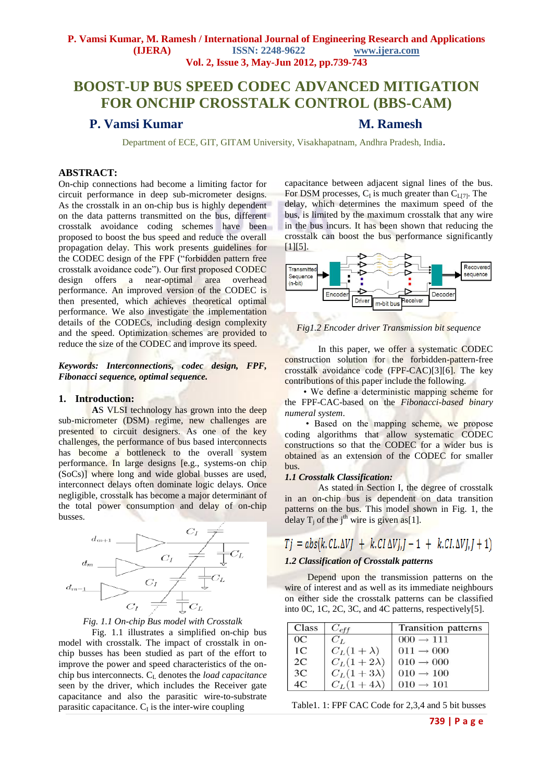## **BOOST-UP BUS SPEED CODEC ADVANCED MITIGATION FOR ONCHIP CROSSTALK CONTROL (BBS-CAM)**

## **P. Vamsi Kumar M. Ramesh**

Department of ECE, GIT, GITAM University, Visakhapatnam, Andhra Pradesh, India*.* 

#### **ABSTRACT:**

On-chip connections had become a limiting factor for circuit performance in deep sub-micrometer designs. As the crosstalk in an on-chip bus is highly dependent on the data patterns transmitted on the bus, different crosstalk avoidance coding schemes have been proposed to boost the bus speed and reduce the overall propagation delay. This work presents guidelines for the CODEC design of the FPF ("forbidden pattern free crosstalk avoidance code"). Our first proposed CODEC design offers a near-optimal area overhead performance. An improved version of the CODEC is then presented, which achieves theoretical optimal performance. We also investigate the implementation details of the CODECs, including design complexity and the speed. Optimization schemes are provided to reduce the size of the CODEC and improve its speed.

*Keywords: Interconnections, codec design, FPF, Fibonacci sequence, optimal sequence.*

#### **1. Introduction:**

**A**S VLSI technology has grown into the deep sub-micrometer (DSM) regime, new challenges are presented to circuit designers. As one of the key challenges, the performance of bus based interconnects has become a bottleneck to the overall system performance. In large designs [e.g., systems-on chip (SoCs)] where long and wide global busses are used, interconnect delays often dominate logic delays. Once negligible, crosstalk has become a major determinant of the total power consumption and delay of on-chip busses.





Fig. 1.1 illustrates a simplified on-chip bus model with crosstalk. The impact of crosstalk in onchip busses has been studied as part of the effort to improve the power and speed characteristics of the onchip bus interconnects. C<sup>L</sup> denotes the *load capacitance* seen by the driver, which includes the Receiver gate capacitance and also the parasitic wire-to-substrate parasitic capacitance.  $C_I$  is the inter-wire coupling

capacitance between adjacent signal lines of the bus. For DSM processes,  $C_I$  is much greater than  $C_{L[7]}$ . The delay, which determines the maximum speed of the bus, is limited by the maximum crosstalk that any wire in the bus incurs. It has been shown that reducing the crosstalk can boost the bus performance significantly [1][5].



*Fig1.2 Encoder driver Transmission bit sequence*

In this paper, we offer a systematic CODEC construction solution for the forbidden-pattern-free crosstalk avoidance code (FPF-CAC)[3][6]. The key contributions of this paper include the following.

 • We define a deterministic mapping scheme for the FPF-CAC-based on the *Fibonacci-based binary numeral system*.

 • Based on the mapping scheme, we propose coding algorithms that allow systematic CODEC constructions so that the CODEC for a wider bus is obtained as an extension of the CODEC for smaller bus.

#### *1.1 Crosstalk Classification:*

As stated in Section I, the degree of crosstalk in an on-chip bus is dependent on data transition patterns on the bus. This model shown in Fig. 1, the delay  $T_j$  of the j<sup>th</sup> wire is given as[1].

# $Tj = abs(k.CL.\Delta VJ + k.CI \Delta VJ, J - 1 + k.CI.\Delta VJ, J + 1)$

#### *1.2 Classification of Crosstalk patterns*

Depend upon the transmission patterns on the wire of interest and as well as its immediate neighbours on either side the crosstalk patterns can be classified into 0C, 1C*,* 2C, 3C, and 4C patterns, respectively[5].

| Class          | $C_{eff}$         | <b>Transition patterns</b> |
|----------------|-------------------|----------------------------|
| OC             | $C_L$             | $000 \rightarrow 111$      |
| 1 <sup>C</sup> | $C_L(1+\lambda)$  | $011 \rightarrow 000$      |
| 2C             | $C_L(1+2\lambda)$ | $010 \rightarrow 000$      |
| 3 <sup>C</sup> | $C_L(1+3\lambda)$ | $010 \rightarrow 100$      |
| 4С             | $C_L(1+4\lambda)$ | $010 \rightarrow 101$      |

|  | Table 1. 1: FPF CAC Code for 2,3,4 and 5 bit busses |  |  |
|--|-----------------------------------------------------|--|--|
|--|-----------------------------------------------------|--|--|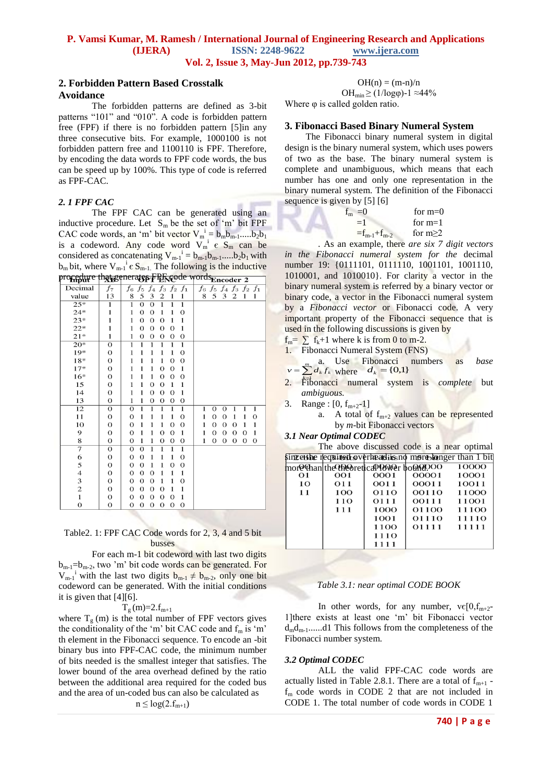#### **2. Forbidden Pattern Based Crosstalk Avoidance**

The forbidden patterns are defined as 3-bit patterns "101" and "010". A code is forbidden pattern free (FPF) if there is no forbidden pattern [5]in any three consecutive bits. For example, 1000100 is not forbidden pattern free and 1100110 is FPF. Therefore, by encoding the data words to FPF code words, the bus can be speed up by 100%. This type of code is referred as FPF-CAC.

### *2. 1 FPF CAC*

The FPF CAC can be generated using an inductive procedure. Let  $S_m$  be the set of 'm' bit FPF CAC code words, an 'm' bit vector  $V_m^i = b_m b_{m-1}$ ..... $b_2 b_1$ is a codeword. Any code word  $V_m^i \in S_m$  can be considered as concatenating  $V_{m-1}^i = b_{m-1}b_{m-1}.....b_2b_1$  with  $b_m$  bit, where  $V_{m-1}^i \in S_{m-1}$ . The following is the inductive procedure that generates FPF code words.

| <br>$\mathbf{m}$        | $\Gamma$ ADC     | ,,,<br>OP I TEINC<br>от от теператет<br>∠                                                                                                                                                  |
|-------------------------|------------------|--------------------------------------------------------------------------------------------------------------------------------------------------------------------------------------------|
| Decimal                 | $f_7$            | $f_6$<br>$f_5$<br>$f_3$<br>$f_6$<br>$f_5$<br>$f_4$ $f_3$<br>$f_4$<br>$f_2$<br>$f_1$<br>$f_2$<br>$f_1$                                                                                      |
| value                   | 13               | 5<br>3<br>$\overline{c}$<br>1<br>1<br>8<br>5<br>3<br>$\overline{c}$<br>8<br>1<br>1                                                                                                         |
| $25*$                   | $\overline{1}$   | $\overline{1}$<br>$\overline{1}$<br>$\overline{1}$<br>$\overline{1}$<br>$\overline{0}$<br>$\Omega$                                                                                         |
| $24*$                   | 1                | $\overline{0}$<br>1<br>$\overline{0}$<br>$\overline{0}$<br>$\mathbf{1}$<br>$\mathbf{1}$                                                                                                    |
| $23*$                   | 1                | $\mathbf{1}$<br>1<br>$\overline{0}$<br>$\overline{0}$<br>$\mathbf{1}$<br>$\Omega$                                                                                                          |
| $22*$                   | 1                | $\mathbf{1}$<br>$\mathbf{1}$<br>$\overline{0}$<br>$\overline{0}$<br>$\mathbf 0$<br>$\mathbf{O}$                                                                                            |
| $21*$                   | $\mathbf{1}$     | 1<br>$\overline{O}$<br>$\mathbf 0$<br>$\Omega$<br>$\overline{0}$<br>$\mathbf 0$                                                                                                            |
| $20*$                   | $\overline{0}$   | $\overline{1}$<br>$\overline{1}$<br>$\overline{1}$<br>1<br>$\overline{1}$<br>ī                                                                                                             |
| $19*$                   | $\overline{O}$   | $\mathbf{1}$<br>$\mathbf{1}$<br>$\mathbf 0$<br>$\mathbf{1}$<br>$\mathbf{1}$<br>1                                                                                                           |
| $18*$                   | $\overline{0}$   | $\mathbf{1}$<br>$\mathbf{1}$<br>$\mathbf 0$<br>$\mathbf{O}$<br>$\mathbf{1}$<br>1                                                                                                           |
| $17*$                   | $\overline{0}$   | $\mathbf{1}$<br>$\overline{0}$<br>1<br>$\mathbf{1}$<br>1<br>$\overline{0}$                                                                                                                 |
| $16*$                   | $\mathbf{O}$     | $\mathbf{1}$<br>1<br>1<br>$\Omega$<br>$\overline{0}$<br>$\overline{0}$                                                                                                                     |
| 15                      | $\mathbf{0}$     | 1<br>1<br>$\overline{0}$<br>$\Omega$<br>$\mathbf{1}$<br>$\mathbf{1}$                                                                                                                       |
| 14                      | $\mathbf{O}$     | $\mathbf{1}$<br>1<br>$\overline{0}$<br>$\mathbf{1}$<br>$\overline{0}$<br>$\mathbf{O}$                                                                                                      |
| 13                      | $\overline{0}$   | $\mathbf{1}$<br>1<br>$\Omega$<br>$\mathbf{O}$<br>$\mathbf{O}$<br>$\mathbf 0$                                                                                                               |
| $\overline{12}$         | $\mathbf{O}$     | 1<br>1<br>$\overline{0}$<br>$\overline{1}$<br>$\overline{1}$<br>1<br>1<br>$\overline{0}$<br>$\Omega$<br>1<br>1<br>1                                                                        |
| 11                      | $\mathbf{O}$     | $\overline{0}$<br>$\overline{O}$<br>1<br>1<br>1<br>$\mathbf{1}$<br>$\overline{0}$<br>$\Omega$<br>$\mathbf{1}$<br>$\overline{0}$<br>1<br>1                                                  |
| 10                      | $\overline{0}$   | $\mathbf 0$<br>$\mathbf{1}$<br>$\overline{0}$<br>$\overline{0}$<br>$\mathbf{1}$<br>$\overline{0}$<br>$\mathbf{1}$<br>1<br>$\overline{O}$<br>$\overline{0}$<br>$\mathbf{1}$<br>1            |
| 9                       | $\mathbf{O}$     | $\mathbf{O}$<br>1<br>1<br>$\overline{0}$<br>$\mathbf 0$<br>1<br>$\mathbf{1}$<br>$\mathbf 0$<br>$\overline{O}$<br>$\overline{0}$<br>$\overline{0}$<br>$\mathbf{1}$                          |
| 8                       | $\mathbf{O}$     | $\mathbf{1}$<br>$\overline{0}$<br>$\overline{O}$<br>$\overline{0}$<br>$\boldsymbol{0}$<br>$\overline{0}$<br>$\overline{O}$<br>$\overline{0}$<br>$\overline{0}$<br>$\overline{0}$<br>1<br>1 |
| 7                       | $\overline{0}$   | $\overline{1}$<br>$\overline{0}$<br>$\overline{1}$<br>$\mathbf{1}$<br>$\overline{0}$<br>$\overline{1}$                                                                                     |
| 6                       | $\mathbf{0}$     | $\overline{0}$<br>$\overline{0}$<br>1<br>1<br>1<br>$\overline{0}$                                                                                                                          |
| 5                       | $\mathbf{O}$     | $\overline{0}$<br>$\overline{0}$<br>$\mathbf 0$<br>$\overline{0}$<br>1<br>1                                                                                                                |
| 4                       | $\boldsymbol{0}$ | $\mathbf 0$<br>1<br>1<br>$\overline{0}$<br>1<br>$\Omega$                                                                                                                                   |
| 3                       | $\boldsymbol{0}$ | $\mathbf 0$<br>$\mathbf{1}$<br>$\overline{0}$<br>$\Omega$<br>1<br>$\mathbf{O}$                                                                                                             |
| $\overline{\mathbf{c}}$ | $\mathbf{O}$     | $\overline{O}$<br>$\mathbf{1}$<br>$\overline{0}$<br>$\overline{0}$<br>$\overline{0}$<br>$\mathbf{1}$                                                                                       |
| $\mathbf{1}$            | $\boldsymbol{0}$ | $\mathbf{1}$<br>$\mathbf{O}$<br>$\overline{0}$<br>$\overline{0}$<br>$\overline{0}$<br>$\Omega$                                                                                             |
| 0                       | 0                | $\mathbf{O}$<br>$\overline{0}$<br>$\overline{0}$<br>$\overline{0}$<br>0<br>$\overline{O}$                                                                                                  |

#### Table2. 1: FPF CAC Code words for 2, 3, 4 and 5 bit busses

For each m-1 bit codeword with last two digits  $b_{m-1}=b_{m-2}$ , two 'm' bit code words can be generated. For  $V_{m-1}$ <sup>i</sup> with the last two digits  $b_{m-1} \neq b_{m-2}$ , only one bit codeword can be generated. With the initial conditions it is given that [4][6].

 $T_g(m)=2.f_{m+1}$ 

where  $T_g$  (m) is the total number of FPF vectors gives the conditionality of the 'm' bit CAC code and  $f_m$  is 'm' th element in the Fibonacci sequence. To encode an -bit binary bus into FPF-CAC code, the minimum number of bits needed is the smallest integer that satisfies. The lower bound of the area overhead defined by the ratio between the additional area required for the coded bus and the area of un-coded bus can also be calculated as

 $n \leq log(2.f_{m+1})$ 

 $OH(n) = (m-n)/n$ OH<sub>min</sub>  $\geq$  (1/logo)-1 ≈44%

Where  $\varphi$  is called golden ratio.

#### **3. Fibonacci Based Binary Numeral System**

 The Fibonacci binary numeral system in digital design is the binary numeral system, which uses powers of two as the base. The binary numeral system is complete and unambiguous, which means that each number has one and only one representation in the binary numeral system. The definition of the Fibonacci sequence is given by [5] [6]

| $f_m = 0$             | for $m=0$ |
|-----------------------|-----------|
| $=1$                  | for $m=1$ |
| $= f_{m-1} + f_{m-2}$ | for $m>2$ |
|                       |           |

*.* As an example, there *are six 7 digit vectors in the Fibonacci numeral system for the* decimal number 19: {0111101, 0111110, 1001101, 1001110, 1010001, and 1010010}. For clarity a vector in the binary numeral system is referred by a binary vector or binary code, a vector in the Fibonacci numeral system by a *Fibonacci vector* or Fibonacci code. A very important property of the Fibonacci sequence that is used in the following discussions is given by

- $f_m = \sum f_k + 1$  where k is from 0 to m-2.
- 1. Fibonacci Numeral System (FNS)

a. Use Fibonacci numbers as *base*   $v = \sum_{k=1}^{m} d_k f_k$  where  $d_k = \{0,1\}$ 

- 2. Fibonacci numeral system is *complete* but *k* 1*ambiguous.*
- 3. Range :  $[0, f_{m+2}-1]$

a. A total of  $f_{m+2}$  values can be represented by *m*-bit Fibonacci vectors

#### *3.1 Near Optimal CODEC*

|    |                  |                                        |       | The above discussed code is a near optimal             |
|----|------------------|----------------------------------------|-------|--------------------------------------------------------|
|    |                  |                                        |       | since the required sverheadirsh more longer than 1 bit |
|    |                  | more than the Cheoretical Power bound? |       | 10000                                                  |
| Ο1 | OO1              | 0001                                   | 00001 | 10001                                                  |
| 10 | O <sub>1</sub> 1 | 0011                                   | 00011 | 10011                                                  |
| 11 | 100              | 0110                                   | 00110 | 11000                                                  |
|    | 110              | 0111                                   | 00111 | 11001                                                  |
|    | 111              | 1000                                   | 01100 | 11100                                                  |
|    |                  | 1001                                   | 01110 | 11110                                                  |
|    |                  | 1100                                   | 01111 | 11111                                                  |
|    |                  | 1110                                   |       |                                                        |

#### *Table 3.1: near optimal CODE BOOK*

1111

In other words, for any number,  $v \in [0, f_{m+2}]$ 1]there exists at least one "m" bit Fibonacci vector  $d_{m}d_{m-1}$ ......d1 This follows from the completeness of the Fibonacci number system.

#### *3.2 Optimal CODEC*

 ALL the valid FPF-CAC code words are actually listed in Table 2.8.1. There are a total of  $f_{m+1}$   $f_m$  code words in CODE 2 that are not included in CODE 1. The total number of code words in CODE 1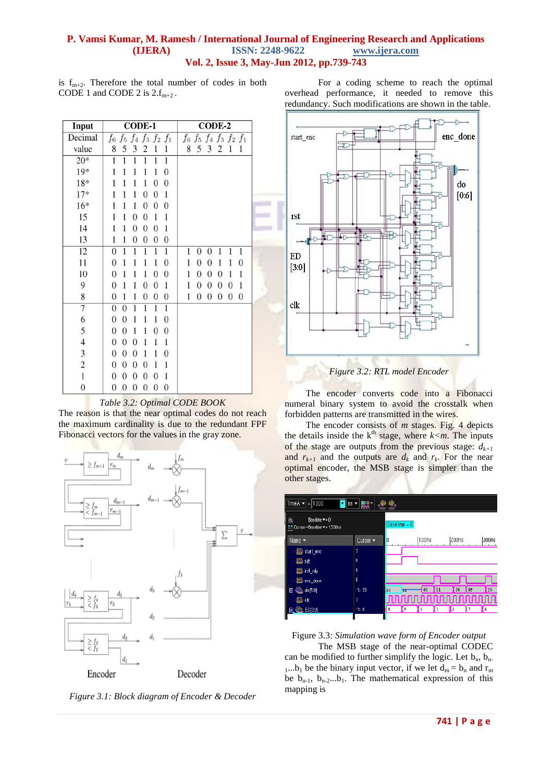is  $f_{m+2}$ . Therefore the total number of codes in both CODE 1 and CODE 2 is  $2.f_{m+2}$ .

|                                                        |  | For a coding scheme to reach the optimal |  |  |  |  |
|--------------------------------------------------------|--|------------------------------------------|--|--|--|--|
| overhead performance, it needed to remove this         |  |                                          |  |  |  |  |
| redundancy. Such modifications are shown in the table. |  |                                          |  |  |  |  |

| Input                   | CODE-1                                                                                                         | CODE-2                                                                                          |  |
|-------------------------|----------------------------------------------------------------------------------------------------------------|-------------------------------------------------------------------------------------------------|--|
| Decimal                 | $f_6 f_5 f_4 f_3 f_2 f_1$                                                                                      | $f_6 f_5 f_4 f_3 f_2 f_1$                                                                       |  |
| value                   | 5<br>3<br>8<br>$\overline{c}$<br>1<br>1                                                                        | 5<br>3<br>1<br>8<br>$\overline{c}$<br>1                                                         |  |
| $20*$                   | $\overline{1}$<br>$\overline{1}$<br>1<br>1<br>1<br>1                                                           |                                                                                                 |  |
| $19*$                   | 1<br>1<br>$\boldsymbol{0}$<br>1<br>1<br>1                                                                      |                                                                                                 |  |
| 18*                     | $\boldsymbol{0}$<br>$\theta$<br>1<br>1<br>1<br>1                                                               |                                                                                                 |  |
| $17*$                   | 1<br>1<br>$\boldsymbol{0}$<br>$\mathbf{0}$<br>1<br>1                                                           |                                                                                                 |  |
| $16*$                   | $\boldsymbol{0}$<br>$\boldsymbol{0}$<br>1<br>1<br>$\overline{0}$<br>1                                          |                                                                                                 |  |
| 15                      | 1<br>$\boldsymbol{0}$<br>$\boldsymbol{0}$<br>1<br>1<br>1                                                       |                                                                                                 |  |
| 14                      | 1<br>$\boldsymbol{0}$<br>$\boldsymbol{0}$<br>0<br>1<br>1                                                       |                                                                                                 |  |
| 13                      | $\mathbf{1}$<br>$\boldsymbol{0}$<br>$\boldsymbol{0}$<br>$\boldsymbol{0}$<br>1<br>$\boldsymbol{0}$              |                                                                                                 |  |
| 12                      | $\overline{1}$<br>1<br>$\boldsymbol{0}$<br>1<br>1<br>1                                                         | 1<br>1<br>1<br>1<br>$\overline{0}$<br>$\boldsymbol{0}$                                          |  |
| 11                      | $\mathbf{0}$<br>$\boldsymbol{0}$<br>1<br>1<br>1<br>1                                                           | $\boldsymbol{0}$<br>1<br>1<br>1<br>0<br>0                                                       |  |
| 10                      | 1<br>1<br>$\overline{0}$<br>$\mathbf{0}$<br>1<br>0                                                             | $\boldsymbol{0}$<br>1<br>$\boldsymbol{0}$<br>1<br>1<br>$\overline{0}$                           |  |
| 9                       | $\boldsymbol{0}$<br>1<br>$\boldsymbol{0}$<br>0<br>1<br>1                                                       | $\mathbf{0}$<br>$\overline{0}$<br>1<br>$\boldsymbol{0}$<br>$\boldsymbol{0}$<br>1                |  |
| 8                       | $\mathbf{1}$<br>$\mathbf{0}$<br>1<br>$\boldsymbol{0}$<br>$\mathbf{0}$<br>$\boldsymbol{0}$                      | $\overline{0}$<br>$\mathbf{0}$<br>$\boldsymbol{0}$<br>1<br>$\boldsymbol{0}$<br>$\boldsymbol{0}$ |  |
| $\overline{7}$          | $\boldsymbol{0}$<br>$\boldsymbol{0}$<br>1<br>1<br>1<br>1                                                       |                                                                                                 |  |
| 6                       | $\boldsymbol{0}$<br>$\Omega$<br>1<br>$\theta$<br>1<br>1                                                        |                                                                                                 |  |
| 5                       | $\mathbf{0}$<br>$\overline{0}$<br>1<br>$\mathbf{0}$<br>1<br>$\Omega$                                           |                                                                                                 |  |
| $\overline{4}$          | $\overline{0}$<br>$\mathbf{0}$<br>$\boldsymbol{0}$<br>1<br>1<br>1                                              |                                                                                                 |  |
| 3                       | $\mathbf{0}$<br>$\boldsymbol{0}$<br>$\boldsymbol{0}$<br>1<br>$\theta$<br>1                                     |                                                                                                 |  |
| $\overline{\mathbf{c}}$ | $\boldsymbol{0}$<br>$\boldsymbol{0}$<br>$\boldsymbol{0}$<br>0<br>1<br>1                                        |                                                                                                 |  |
| $\mathbf{1}$            | $\boldsymbol{0}$<br>$\boldsymbol{0}$<br>1<br>$\boldsymbol{0}$<br>$\boldsymbol{0}$<br>$\boldsymbol{0}$          |                                                                                                 |  |
| $\boldsymbol{0}$        | $\boldsymbol{0}$<br>$\mathbf{0}$<br>$\overline{0}$<br>$\boldsymbol{0}$<br>$\boldsymbol{0}$<br>$\boldsymbol{0}$ |                                                                                                 |  |

*Table 3.2: Optimal CODE BOOK*

The reason is that the near optimal codes do not reach the maximum cardinality is due to the redundant FPF Fibonacci vectors for the values in the gray zone.



*Figure 3.1: Block diagram of Encoder & Decoder*





The encoder converts code into a Fibonacci numeral binary system to avoid the crosstalk when forbidden patterns are transmitted in the wires.

The encoder consists of *m* stages. Fig. 4 depicts the details inside the  $k<sup>th</sup>$  stage, where  $k < m$ . The inputs of the stage are outputs from the previous stage:  $d_{k+1}$ and  $r_{k+1}$  and the outputs are  $d_k$  and  $r_k$ . For the near optimal encoder, the MSB stage is simpler than the other stages.

| Time A $\blacktriangledown$ = 1300                          | <mark>▼</mark> ns ▼ 開発▼ |                |    |        |           |       |    |                  |
|-------------------------------------------------------------|-------------------------|----------------|----|--------|-----------|-------|----|------------------|
| $^\circ$<br>Baseline v = 0<br>FT Cursor - Baseline = 1300ns |                         | Baseline = 0   |    |        |           |       |    |                  |
| Name $\star$                                                | Cursor v                | $\overline{0}$ |    | l100ns |           | 200ns |    | 1300ns           |
| <b>D</b> start_enc                                          | 1                       |                |    |        |           |       |    |                  |
| <b>四</b> nt                                                 | $\mathbf{0}$            |                |    |        |           |       |    |                  |
| <b>ED</b> init rdy                                          | $\mathbf{0}$            |                |    |        |           |       |    |                  |
| <b>ED</b> enc_done                                          | Ŏ                       |                |    |        |           |       |    |                  |
| $\frac{1}{2}$ do [5.0]<br>$\blacksquare$                    | $h$ 18                  | xx             | 22 | 00     | 01        | 06    | OF | 18               |
| <b>D</b> dk                                                 | IJ.                     |                |    |        | nnnnnnnnn |       |    |                  |
| the ED[3:0]<br>田.                                           | h <sub>8</sub>          | 0              | F  | Û      | 1         | 3     |    | $\boldsymbol{8}$ |
|                                                             |                         |                |    |        |           |       |    |                  |

Figure 3.3: *Simulation wave form of Encoder output*

The MSB stage of the near-optimal CODEC can be modified to further simplify the logic. Let  $b_n$ ,  $b_n$ . 1...b<sub>1</sub> be the binary input vector, if we let  $d_m = b_n$  and  $r_m$ be  $b_{n-1}$ ,  $b_{n-2}$ ...b<sub>1</sub>. The mathematical expression of this mapping is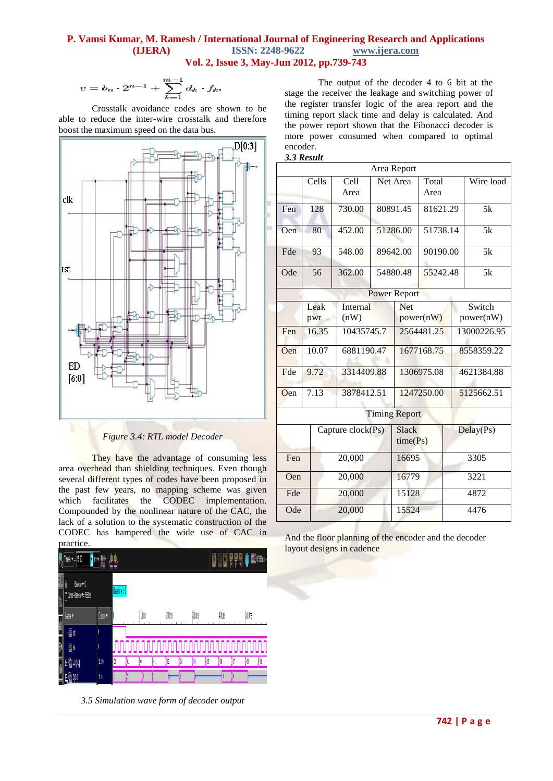$$
v = b_n \cdot 2^{n-1} + \sum_{k=1}^{m-1} d_k \cdot f_k
$$

Crosstalk avoidance codes are shown to be able to reduce the inter-wire crosstalk and therefore boost the maximum speed on the data bus.



*Figure 3.4: RTL model Decoder*

They have the advantage of consuming less area overhead than shielding techniques. Even though several different types of codes have been proposed in the past few years, no mapping scheme was given which facilitates the CODEC implementation. Compounded by the nonlinear nature of the CAC, the lack of a solution to the systematic construction of the CODEC has hampered the wide use of CAC in practice



*3.5 Simulation wave form of decoder output*

The output of the decoder 4 to 6 bit at the stage the receiver the leakage and switching power of the register transfer logic of the area report and the timing report slack time and delay is calculated. And the power report shown that the Fibonacci decoder is more power consumed when compared to optimal encoder.



|     |        |                   |          | Area Report          |            |           |             |  |
|-----|--------|-------------------|----------|----------------------|------------|-----------|-------------|--|
|     | Cells  | Cell              | Net Area |                      | Total      |           | Wire load   |  |
|     |        | Area              |          |                      |            |           |             |  |
| Fen | 128    | 730.00            |          | 80891.45             | 81621.29   |           | 5k          |  |
|     |        |                   |          |                      |            |           |             |  |
| Oen | 80     | 452.00            |          | 51286.00             | 51738.14   |           | 5k          |  |
| Fde | 93     | 548.00            |          | 89642.00             | 90190.00   |           | 5k          |  |
|     |        |                   |          |                      |            |           |             |  |
| Ode | 56     | 362.00            |          | 54880.48             | 55242.48   |           | 5k          |  |
|     |        |                   |          | <b>Power Report</b>  |            |           |             |  |
|     | Leak   | <b>Internal</b>   |          | Net                  |            |           | Switch      |  |
|     | pwr    | (nW)              |          |                      | power(nW)  | power(nW) |             |  |
| Fen | 16.35  | 10435745.7        |          | 2564481.25           |            |           | 13000226.95 |  |
| Oen | 10.07  | 6881190.47        |          | 1677168.75           |            |           | 8558359.22  |  |
| Fde | 9.72   | 3314409.88        |          |                      | 1306975.08 |           | 4621384.88  |  |
| Oen | 7.13   | 3878412.51        |          |                      | 1247250.00 |           | 5125662.51  |  |
|     |        |                   |          | <b>Timing Report</b> |            |           |             |  |
|     |        | Capture clock(Ps) |          | <b>Slack</b>         |            | Delay(Ps) |             |  |
|     |        |                   |          | time(Ps)             |            |           |             |  |
| Fen | 20,000 |                   |          | 16695                |            |           | 3305        |  |
| Oen |        | 20,000            |          | 16779                |            | 3221      |             |  |
| Fde |        | 20,000            |          | 15128                |            |           | 4872        |  |
| Ode | 20,000 |                   |          | 15524                |            |           | 4476        |  |

And the floor planning of the encoder and the decoder layout designs in cadence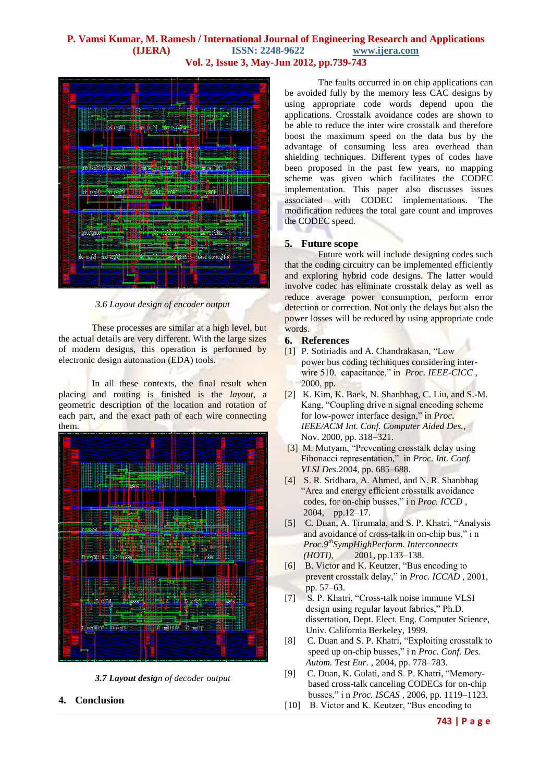

*3.6 Layout design of encoder output*

These processes are similar at a high level, but the actual details are very different. With the large sizes of modern designs, this operation is performed by [electronic design automation](http://en.wikipedia.org/wiki/Electronic_design_automation) (EDA) tools.

In all these contexts, the final result when placing and routing is finished is the *layout*, a geometric description of the location and rotation of each part, and the exact path of each wire connecting them.



*3.7 Layout design of decoder output*

**4. Conclusion**

The faults occurred in on chip applications can be avoided fully by the memory less CAC designs by using appropriate code words depend upon the applications. Crosstalk avoidance codes are shown to be able to reduce the inter wire crosstalk and therefore boost the maximum speed on the data bus by the advantage of consuming less area overhead than shielding techniques. Different types of codes have been proposed in the past few years, no mapping scheme was given which facilitates the CODEC implementation. This paper also discusses issues associated with CODEC implementations. The modification reduces the total gate count and improves the CODEC speed.

#### **5. Future scope**

Future work will include designing codes such that the coding circuitry can be implemented efficiently and exploring hybrid code designs. The latter would involve codec has eliminate crosstalk delay as well as reduce average power consumption, perform error detection or correction. Not only the delays but also the power losses will be reduced by using appropriate code words.

#### **6. References**

- [1] P. Sotiriadis and A. Chandrakasan, "Low power bus coding techniques considering inter wire 510. capacitance," in *Proc. IEEE-CICC* , 2000, pp.
- [2] K. Kim, K. Baek, N. Shanbhag, C. Liu, and S.-M. Kang, "Coupling drive n signal encoding scheme for low-power interface design," in *Proc. IEEE/ACM Int. Conf. Computer Aided Des.*, Nov. 2000, pp. 318–321.
- [3] M. Mutyam, "Preventing crosstalk delay using Fibonacci representation," in *Proc. Int. Conf. VLSI Des.*2004, pp. 685–688.
- [4] S. R. Sridhara, A. Ahmed, and N. R. Shanbhag "Area and energy efficient crosstalk avoidance codes, for on-chip busses," i n *Proc. ICCD* , 2004, pp.12–17.
- [5] C. Duan, A. Tirumala, and S. P. Khatri, "Analysis and avoidance of cross-talk in on-chip bus," i n *Proc.9thSympHighPerform. Interconnects (HOTI)*, 2001, pp.133–138.
- [6] B. Victor and K. Keutzer, "Bus encoding to prevent crosstalk delay," in *Proc. ICCAD* , 2001, pp. 57–63.
- [7] S. P. Khatri, "Cross-talk noise immune VLSI design using regular layout fabrics," Ph.D. dissertation, Dept. Elect. Eng. Computer Science, Univ. California Berkeley, 1999.
- [8] C. Duan and S. P. Khatri, "Exploiting crosstalk to speed up on-chip busses," i n *Proc. Conf. Des. Autom. Test Eur.* , 2004, pp. 778–783.
- [9] C. Duan, K. Gulati, and S. P. Khatri, "Memory based cross-talk canceling CODECs for on-chip busses," i n *Proc. ISCAS* , 2006, pp. 1119–1123.
- [10] B. Victor and K. Keutzer, "Bus encoding to

**743 | P a g e**